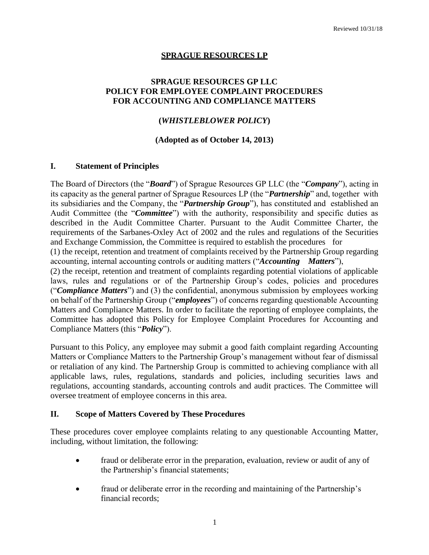## **SPRAGUE RESOURCES LP**

### **SPRAGUE RESOURCES GP LLC POLICY FOR EMPLOYEE COMPLAINT PROCEDURES FOR ACCOUNTING AND COMPLIANCE MATTERS**

## **(***WHISTLEBLOWER POLICY***)**

#### **(Adopted as of October 14, 2013)**

#### **I. Statement of Principles**

The Board of Directors (the "*Board*") of Sprague Resources GP LLC (the "*Company*"), acting in its capacity as the general partner of Sprague Resources LP (the "*Partnership*" and, together with its subsidiaries and the Company, the "*Partnership Group*"), has constituted and established an Audit Committee (the "*Committee*") with the authority, responsibility and specific duties as described in the Audit Committee Charter. Pursuant to the Audit Committee Charter, the requirements of the Sarbanes-Oxley Act of 2002 and the rules and regulations of the Securities and Exchange Commission, the Committee is required to establish the procedures for

(1) the receipt, retention and treatment of complaints received by the Partnership Group regarding accounting, internal accounting controls or auditing matters ("*Accounting Matters*"),

(2) the receipt, retention and treatment of complaints regarding potential violations of applicable laws, rules and regulations or of the Partnership Group's codes, policies and procedures ("*Compliance Matters*") and (3) the confidential, anonymous submission by employees working on behalf of the Partnership Group ("*employees*") of concerns regarding questionable Accounting Matters and Compliance Matters. In order to facilitate the reporting of employee complaints, the Committee has adopted this Policy for Employee Complaint Procedures for Accounting and Compliance Matters (this "*Policy*").

Pursuant to this Policy, any employee may submit a good faith complaint regarding Accounting Matters or Compliance Matters to the Partnership Group's management without fear of dismissal or retaliation of any kind. The Partnership Group is committed to achieving compliance with all applicable laws, rules, regulations, standards and policies, including securities laws and regulations, accounting standards, accounting controls and audit practices. The Committee will oversee treatment of employee concerns in this area.

#### **II. Scope of Matters Covered by These Procedures**

These procedures cover employee complaints relating to any questionable Accounting Matter, including, without limitation, the following:

- fraud or deliberate error in the preparation, evaluation, review or audit of any of the Partnership's financial statements;
- fraud or deliberate error in the recording and maintaining of the Partnership's financial records;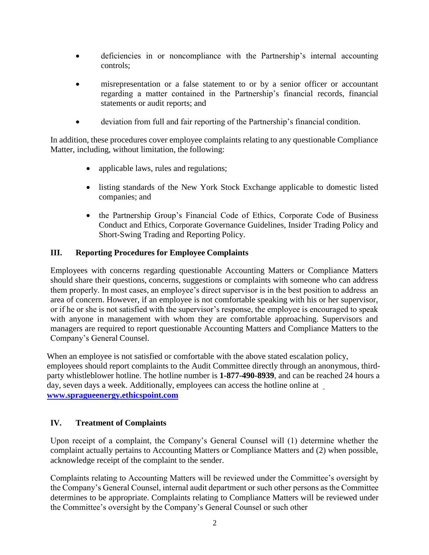- deficiencies in or noncompliance with the Partnership's internal accounting controls;
- misrepresentation or a false statement to or by a senior officer or accountant regarding a matter contained in the Partnership's financial records, financial statements or audit reports; and
- deviation from full and fair reporting of the Partnership's financial condition.

In addition, these procedures cover employee complaints relating to any questionable Compliance Matter, including, without limitation, the following:

- applicable laws, rules and regulations;
- listing standards of the New York Stock Exchange applicable to domestic listed companies; and
- the Partnership Group's Financial Code of Ethics, Corporate Code of Business Conduct and Ethics, Corporate Governance Guidelines, Insider Trading Policy and Short-Swing Trading and Reporting Policy.

# **III. Reporting Procedures for Employee Complaints**

Employees with concerns regarding questionable Accounting Matters or Compliance Matters should share their questions, concerns, suggestions or complaints with someone who can address them properly. In most cases, an employee's direct supervisor is in the best position to address an area of concern. However, if an employee is not comfortable speaking with his or her supervisor, or if he or she is not satisfied with the supervisor's response, the employee is encouraged to speak with anyone in management with whom they are comfortable approaching. Supervisors and managers are required to report questionable Accounting Matters and Compliance Matters to the Company's General Counsel.

When an employee is not satisfied or comfortable with the above stated escalation policy, employees should report complaints to the Audit Committee directly through an anonymous, thirdparty whistleblower hotline. The hotline number is **1-877-490-8939**, and can be reached 24 hours a day, seven days a week. Additionally, employees can access the hotline online at **[www.spragueenergy.ethicspoint.com](http://www.spragueenergy.ethicspoint.com/)**

# **IV. Treatment of Complaints**

Upon receipt of a complaint, the Company's General Counsel will (1) determine whether the complaint actually pertains to Accounting Matters or Compliance Matters and (2) when possible, acknowledge receipt of the complaint to the sender.

Complaints relating to Accounting Matters will be reviewed under the Committee's oversight by the Company's General Counsel, internal audit department or such other persons as the Committee determines to be appropriate. Complaints relating to Compliance Matters will be reviewed under the Committee's oversight by the Company's General Counsel or such other